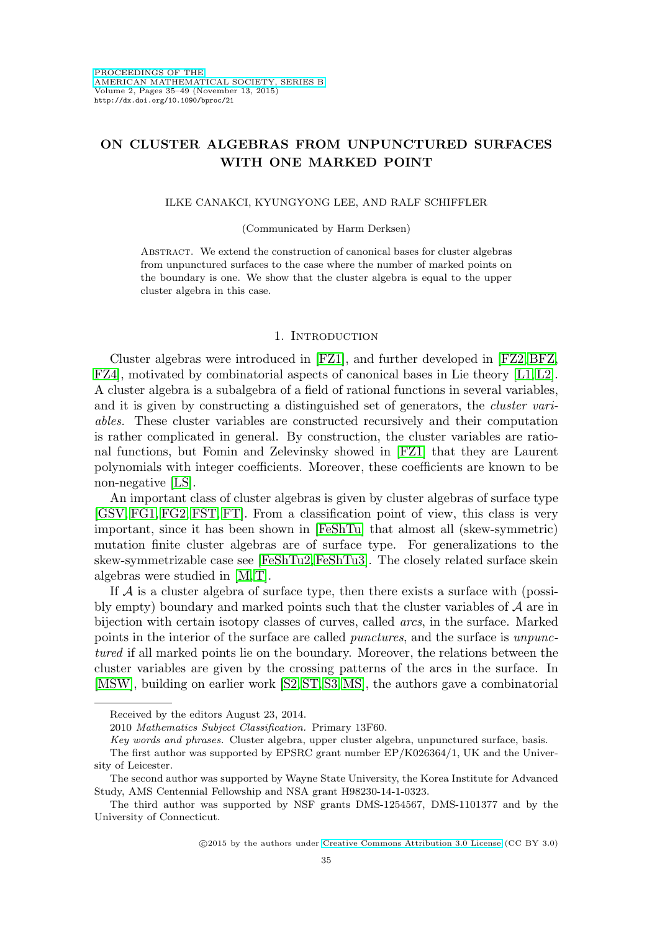# **ON CLUSTER ALGEBRAS FROM UNPUNCTURED SURFACES WITH ONE MARKED POINT**

#### ILKE CANAKCI, KYUNGYONG LEE, AND RALF SCHIFFLER

#### (Communicated by Harm Derksen)

Abstract. We extend the construction of canonical bases for cluster algebras from unpunctured surfaces to the case where the number of marked points on the boundary is one. We show that the cluster algebra is equal to the upper cluster algebra in this case.

#### 1. INTRODUCTION

Cluster algebras were introduced in [\[FZ1\]](#page-13-0), and further developed in [\[FZ2,](#page-13-1) [BFZ,](#page-12-0) [FZ4\]](#page-13-2), motivated by combinatorial aspects of canonical bases in Lie theory [\[L1,](#page-13-3) [L2\]](#page-13-4). A cluster algebra is a subalgebra of a field of rational functions in several variables, and it is given by constructing a distinguished set of generators, the cluster variables. These cluster variables are constructed recursively and their computation is rather complicated in general. By construction, the cluster variables are rational functions, but Fomin and Zelevinsky showed in [\[FZ1\]](#page-13-0) that they are Laurent polynomials with integer coefficients. Moreover, these coefficients are known to be non-negative [\[LS\]](#page-13-5).

An important class of cluster algebras is given by cluster algebras of surface type [\[GSV,](#page-13-6) [FG1,](#page-12-1) [FG2,](#page-12-2) [FST,](#page-13-7) [FT\]](#page-13-8). From a classification point of view, this class is very important, since it has been shown in [\[FeShTu\]](#page-12-3) that almost all (skew-symmetric) mutation finite cluster algebras are of surface type. For generalizations to the skew-symmetrizable case see [\[FeShTu2,](#page-12-4)[FeShTu3\]](#page-12-5). The closely related surface skein algebras were studied in [\[M,](#page-13-9) [T\]](#page-14-0).

If  $A$  is a cluster algebra of surface type, then there exists a surface with (possibly empty) boundary and marked points such that the cluster variables of  $A$  are in bijection with certain isotopy classes of curves, called arcs, in the surface. Marked points in the interior of the surface are called punctures, and the surface is unpunctured if all marked points lie on the boundary. Moreover, the relations between the cluster variables are given by the crossing patterns of the arcs in the surface. In [\[MSW\]](#page-13-10), building on earlier work [\[S2,](#page-14-1) [ST,](#page-14-2) [S3,](#page-14-3)[MS\]](#page-13-11), the authors gave a combinatorial

Received by the editors August 23, 2014.

<sup>2010</sup> Mathematics Subject Classification. Primary 13F60.

Key words and phrases. Cluster algebra, upper cluster algebra, unpunctured surface, basis.

The first author was supported by EPSRC grant number EP/K026364/1, UK and the University of Leicester.

The second author was supported by Wayne State University, the Korea Institute for Advanced Study, AMS Centennial Fellowship and NSA grant H98230-14-1-0323.

The third author was supported by NSF grants DMS-1254567, DMS-1101377 and by the University of Connecticut.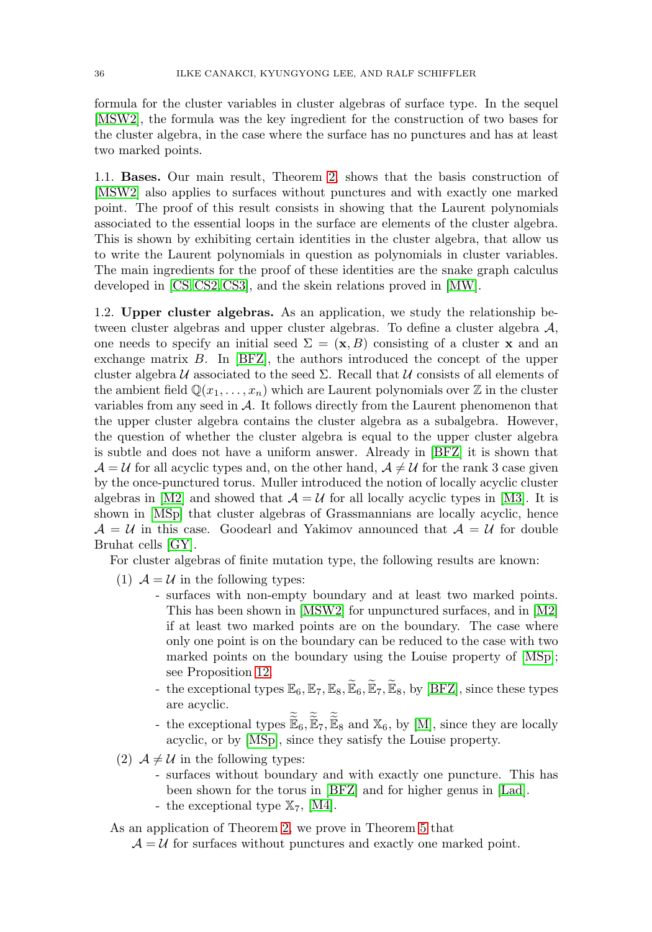formula for the cluster variables in cluster algebras of surface type. In the sequel [\[MSW2\]](#page-13-12), the formula was the key ingredient for the construction of two bases for the cluster algebra, in the case where the surface has no punctures and has at least two marked points.

1.1. **Bases.** Our main result, Theorem [2,](#page-3-0) shows that the basis construction of [\[MSW2\]](#page-13-12) also applies to surfaces without punctures and with exactly one marked point. The proof of this result consists in showing that the Laurent polynomials associated to the essential loops in the surface are elements of the cluster algebra. This is shown by exhibiting certain identities in the cluster algebra, that allow us to write the Laurent polynomials in question as polynomials in cluster variables. The main ingredients for the proof of these identities are the snake graph calculus developed in [\[CS,](#page-12-6) [CS2,](#page-12-7) [CS3\]](#page-12-8), and the skein relations proved in [\[MW\]](#page-13-13).

1.2. **Upper cluster algebras.** As an application, we study the relationship between cluster algebras and upper cluster algebras. To define a cluster algebra  $A$ , one needs to specify an initial seed  $\Sigma = (\mathbf{x}, B)$  consisting of a cluster **x** and an exchange matrix B. In [\[BFZ\]](#page-12-0), the authors introduced the concept of the upper cluster algebra  $U$  associated to the seed  $\Sigma$ . Recall that  $U$  consists of all elements of the ambient field  $\mathbb{Q}(x_1,\ldots,x_n)$  which are Laurent polynomials over  $\mathbb Z$  in the cluster variables from any seed in A. It follows directly from the Laurent phenomenon that the upper cluster algebra contains the cluster algebra as a subalgebra. However, the question of whether the cluster algebra is equal to the upper cluster algebra is subtle and does not have a uniform answer. Already in [\[BFZ\]](#page-12-0) it is shown that  $\mathcal{A} = \mathcal{U}$  for all acyclic types and, on the other hand,  $\mathcal{A} \neq \mathcal{U}$  for the rank 3 case given by the once-punctured torus. Muller introduced the notion of locally acyclic cluster algebras in [\[M2\]](#page-13-14) and showed that  $A = U$  for all locally acyclic types in [\[M3\]](#page-13-15). It is shown in [\[MSp\]](#page-13-16) that cluster algebras of Grassmannians are locally acyclic, hence  $A = U$  in this case. Goodearl and Yakimov announced that  $A = U$  for double Bruhat cells [\[GY\]](#page-13-17).

For cluster algebras of finite mutation type, the following results are known:

- (1)  $A = U$  in the following types:
	- surfaces with non-empty boundary and at least two marked points. This has been shown in [\[MSW2\]](#page-13-12) for unpunctured surfaces, and in [\[M2\]](#page-13-14) if at least two marked points are on the boundary. The case where only one point is on the boundary can be reduced to the case with two  $\frac{1}{2}$ marked points on the boundary using the Louise property of [\[MSp\]](#page-13-16); see Proposition [12.](#page-11-0) This has been shown in [MSW2] for unpunctured surfaces, and in [M2]<br>if at least two marked points are on the boundary. The case where<br>only one point is on the boundary can be reduced to the case with two<br>marked points on only one point is on the<br>marked points on the 1<br>see Proposition 12.<br>the exceptional types  $\mathbb{E}_t$ <br>are acyclic.<br>the exceptional types  $\widetilde{\mathbb{E}}$  $E_{\epsilon}$ <br> $\widetilde{E}$  $\begin{array}{c} \text{u} \\ \text{E} \\ \text{E} \end{array}$  $\widetilde{E}_8$ <br> $\widetilde{E}_8$
	- are acyclic.
	- $\mathbb{E}_6$ ,  $\mathbb{E}_7$ ,  $\mathbb{E}_8$  and  $\mathbb{X}_6$ , by [\[M\]](#page-13-9), since they are locally acyclic, or by [\[MSp\]](#page-13-16), since they satisfy the Louise property.
- (2)  $A \neq U$  in the following types:
	- surfaces without boundary and with exactly one puncture. This has been shown for the torus in [\[BFZ\]](#page-12-0) and for higher genus in [\[Lad\]](#page-13-18). - the exceptional type  $\mathbb{X}_7$ , [\[M4\]](#page-13-19).

As an application of Theorem [2,](#page-3-0) we prove in Theorem [5](#page-3-1) that

 $A = U$  for surfaces without punctures and exactly one marked point.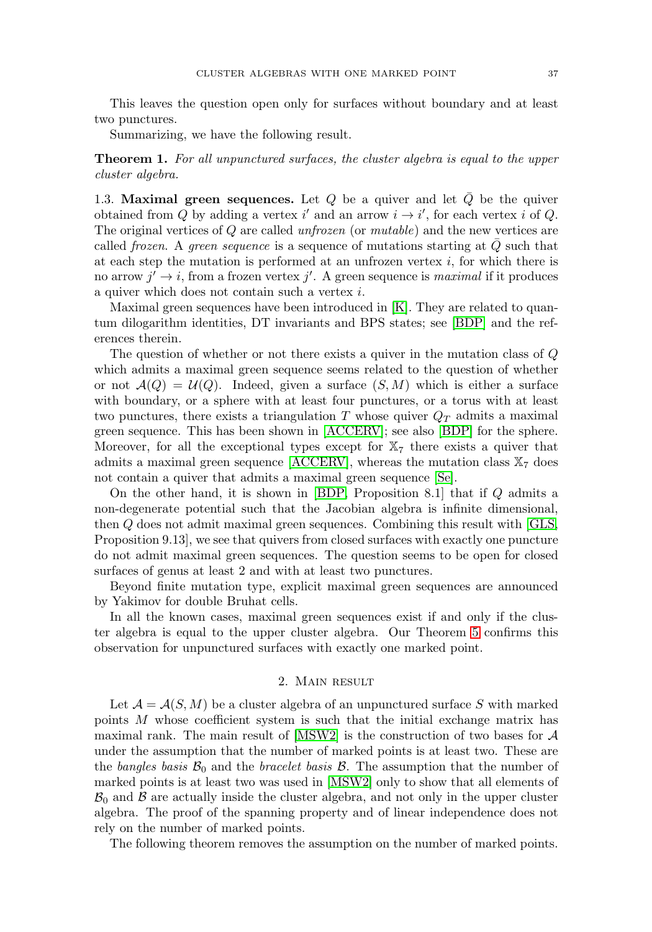This leaves the question open only for surfaces without boundary and at least two punctures.

Summarizing, we have the following result.

**Theorem 1.** For all unpunctured surfaces, the cluster algebra is equal to the upper cluster algebra.

1.3. **Maximal green sequences.** Let  $Q$  be a quiver and let  $Q$  be the quiver obtained from Q by adding a vertex i' and an arrow  $i \to i'$ , for each vertex i of Q. The original vertices of Q are called unfrozen (or mutable) and the new vertices are called frozen. A green sequence is a sequence of mutations starting at  $Q$  such that at each step the mutation is performed at an unfrozen vertex  $i$ , for which there is no arrow  $j' \rightarrow i$ , from a frozen vertex  $j'$ . A green sequence is *maximal* if it produces a quiver which does not contain such a vertex i.

Maximal green sequences have been introduced in [\[K\]](#page-13-20). They are related to quantum dilogarithm identities, DT invariants and BPS states; see [\[BDP\]](#page-12-9) and the references therein.

The question of whether or not there exists a quiver in the mutation class of Q which admits a maximal green sequence seems related to the question of whether or not  $\mathcal{A}(Q) = \mathcal{U}(Q)$ . Indeed, given a surface  $(S, M)$  which is either a surface with boundary, or a sphere with at least four punctures, or a torus with at least two punctures, there exists a triangulation T whose quiver  $Q_T$  admits a maximal green sequence. This has been shown in [\[ACCERV\]](#page-12-10); see also [\[BDP\]](#page-12-9) for the sphere. Moreover, for all the exceptional types except for  $\mathbb{X}_7$  there exists a quiver that admits a maximal green sequence [\[ACCERV\]](#page-12-10), whereas the mutation class  $\mathbb{X}_7$  does not contain a quiver that admits a maximal green sequence [\[Se\]](#page-14-4).

On the other hand, it is shown in [\[BDP,](#page-12-9) Proposition 8.1] that if Q admits a non-degenerate potential such that the Jacobian algebra is infinite dimensional, then Q does not admit maximal green sequences. Combining this result with [\[GLS,](#page-12-11) Proposition 9.13], we see that quivers from closed surfaces with exactly one puncture do not admit maximal green sequences. The question seems to be open for closed surfaces of genus at least 2 and with at least two punctures.

Beyond finite mutation type, explicit maximal green sequences are announced by Yakimov for double Bruhat cells.

In all the known cases, maximal green sequences exist if and only if the cluster algebra is equal to the upper cluster algebra. Our Theorem [5](#page-3-1) confirms this observation for unpunctured surfaces with exactly one marked point.

### 2. Main result

Let  $\mathcal{A} = \mathcal{A}(S, M)$  be a cluster algebra of an unpunctured surface S with marked points M whose coefficient system is such that the initial exchange matrix has maximal rank. The main result of  $[MSW2]$  is the construction of two bases for  $A$ under the assumption that the number of marked points is at least two. These are the bangles basis  $\mathcal{B}_0$  and the bracelet basis  $\mathcal{B}$ . The assumption that the number of marked points is at least two was used in [\[MSW2\]](#page-13-12) only to show that all elements of  $B_0$  and  $B$  are actually inside the cluster algebra, and not only in the upper cluster algebra. The proof of the spanning property and of linear independence does not rely on the number of marked points.

The following theorem removes the assumption on the number of marked points.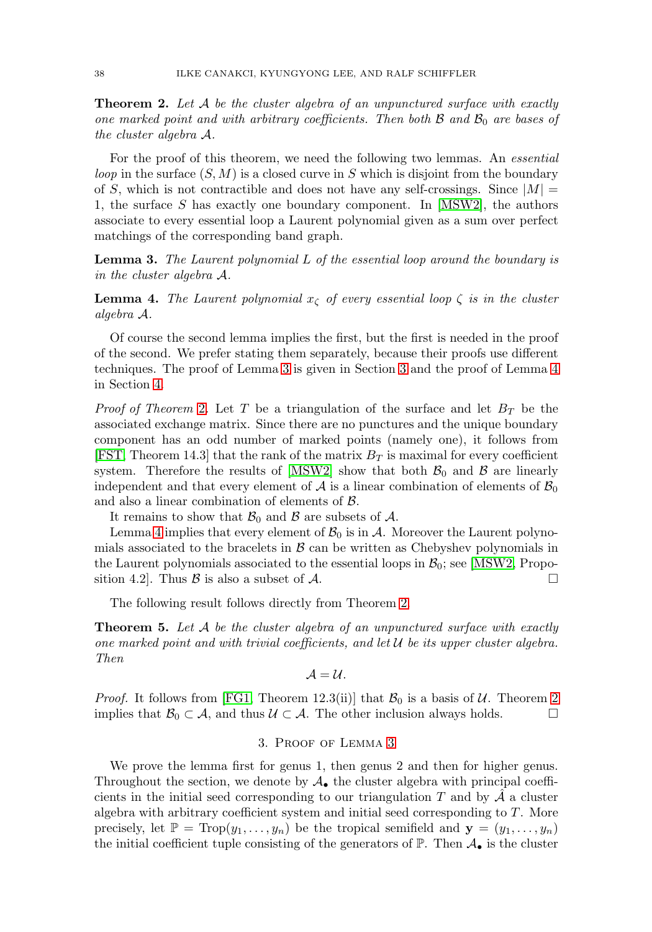<span id="page-3-0"></span>**Theorem 2.** Let A be the cluster algebra of an unpunctured surface with exactly one marked point and with arbitrary coefficients. Then both  $\beta$  and  $\beta_0$  are bases of the cluster algebra A.

For the proof of this theorem, we need the following two lemmas. An *essential loop* in the surface  $(S, M)$  is a closed curve in S which is disjoint from the boundary of S, which is not contractible and does not have any self-crossings. Since  $|M|$  = 1, the surface S has exactly one boundary component. In  $[MSW2]$ , the authors associate to every essential loop a Laurent polynomial given as a sum over perfect matchings of the corresponding band graph.

<span id="page-3-2"></span>**Lemma 3.** The Laurent polynomial L of the essential loop around the boundary is in the cluster algebra A.

<span id="page-3-4"></span>**Lemma 4.** The Laurent polynomial  $x<sub>\zeta</sub>$  of every essential loop  $\zeta$  is in the cluster algebra A.

Of course the second lemma implies the first, but the first is needed in the proof of the second. We prefer stating them separately, because their proofs use different techniques. The proof of Lemma [3](#page-3-2) is given in Section [3](#page-3-3) and the proof of Lemma [4](#page-3-4) in Section [4.](#page-10-0)

*Proof of Theorem [2](#page-3-0).* Let T be a triangulation of the surface and let  $B_T$  be the associated exchange matrix. Since there are no punctures and the unique boundary component has an odd number of marked points (namely one), it follows from [\[FST,](#page-13-7) Theorem 14.3] that the rank of the matrix  $B_T$  is maximal for every coefficient system. Therefore the results of [\[MSW2\]](#page-13-12) show that both  $\mathcal{B}_0$  and  $\mathcal{B}$  are linearly independent and that every element of  $A$  is a linear combination of elements of  $B_0$ and also a linear combination of elements of B.

It remains to show that  $\mathcal{B}_0$  and  $\mathcal B$  are subsets of  $\mathcal A$ .

Lemma [4](#page-3-4) implies that every element of  $\mathcal{B}_0$  is in A. Moreover the Laurent polynomials associated to the bracelets in  $\beta$  can be written as Chebyshev polynomials in the Laurent polynomials associated to the essential loops in  $\mathcal{B}_0$ ; see [\[MSW2,](#page-13-12) Proposition 4.2. Thus  $\beta$  is also a subset of  $\mathcal{A}$ .  $\Box$ 

The following result follows directly from Theorem [2.](#page-3-0)

<span id="page-3-1"></span>**Theorem 5.** Let A be the cluster algebra of an unpunctured surface with exactly one marked point and with trivial coefficients, and let  $U$  be its upper cluster algebra. Then

$$
\mathcal{A}=\mathcal{U}.
$$

<span id="page-3-3"></span>*Proof.* It follows from [\[FG1,](#page-12-1) Theorem 12.3(ii)] that  $\mathcal{B}_0$  is a basis of  $\mathcal{U}$ . Theorem [2](#page-3-0) implies that  $\mathcal{B}_0 \subset \mathcal{A}$ , and thus  $\mathcal{U} \subset \mathcal{A}$ . The other inclusion always holds. ⊔

#### 3. Proof of Lemma [3](#page-3-2)

We prove the lemma first for genus 1, then genus 2 and then for higher genus. Throughout the section, we denote by  $\mathcal{A}_{\bullet}$  the cluster algebra with principal coefficients in the initial seed corresponding to our triangulation  $T$  and by  $A$  a cluster algebra with arbitrary coefficient system and initial seed corresponding to  $T$ . More precisely, let  $\mathbb{P} = \text{Top}(y_1, \ldots, y_n)$  be the tropical semifield and  $\mathbf{y} = (y_1, \ldots, y_n)$ the initial coefficient tuple consisting of the generators of  $\mathbb{P}$ . Then  $\mathcal{A}_{\bullet}$  is the cluster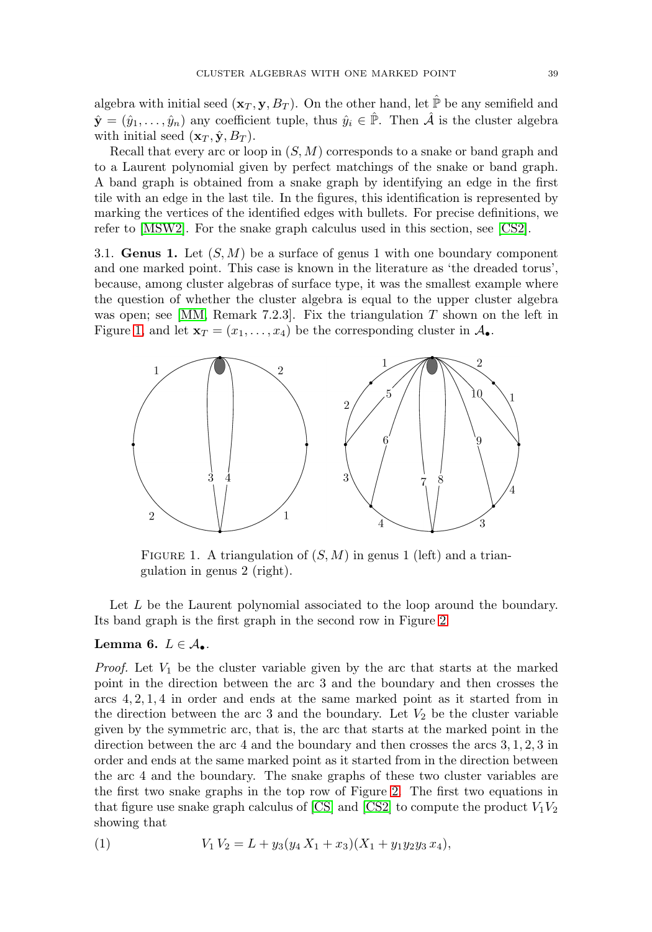algebra with initial seed  $(\mathbf{x}_T, \mathbf{y}, B_T)$ . On the other hand, let  $\hat{\mathbb{P}}$  be any semifield and  $\hat{\mathbf{y}} = (\hat{y}_1, \dots, \hat{y}_n)$  any coefficient tuple, thus  $\hat{y}_i \in \hat{\mathbb{P}}$ . Then  $\hat{\mathcal{A}}$  is the cluster algebra with initial seed  $(\mathbf{x}_T, \hat{\mathbf{y}}, B_T)$ .

Recall that every arc or loop in  $(S, M)$  corresponds to a snake or band graph and to a Laurent polynomial given by perfect matchings of the snake or band graph. A band graph is obtained from a snake graph by identifying an edge in the first tile with an edge in the last tile. In the figures, this identification is represented by marking the vertices of the identified edges with bullets. For precise definitions, we refer to [\[MSW2\]](#page-13-12). For the snake graph calculus used in this section, see [\[CS2\]](#page-12-7).

3.1. **Genus 1.** Let  $(S, M)$  be a surface of genus 1 with one boundary component and one marked point. This case is known in the literature as 'the dreaded torus', because, among cluster algebras of surface type, it was the smallest example where the question of whether the cluster algebra is equal to the upper cluster algebra was open; see  $[MM,$  Remark 7.2.3.. Fix the triangulation T shown on the left in Figure [1,](#page-4-0) and let  $\mathbf{x}_T = (x_1, \ldots, x_4)$  be the corresponding cluster in  $\mathcal{A}_{\bullet}$ .



<span id="page-4-0"></span>FIGURE 1. A triangulation of  $(S, M)$  in genus 1 (left) and a triangulation in genus 2 (right).

Let L be the Laurent polynomial associated to the loop around the boundary. Its band graph is the first graph in the second row in Figure [2.](#page-5-0)

### **Lemma 6.**  $L \in \mathcal{A}_{\bullet}$ .

*Proof.* Let  $V_1$  be the cluster variable given by the arc that starts at the marked point in the direction between the arc 3 and the boundary and then crosses the arcs 4, 2, 1, 4 in order and ends at the same marked point as it started from in the direction between the arc 3 and the boundary. Let  $V_2$  be the cluster variable given by the symmetric arc, that is, the arc that starts at the marked point in the direction between the arc 4 and the boundary and then crosses the arcs 3, 1, 2, 3 in order and ends at the same marked point as it started from in the direction between the arc 4 and the boundary. The snake graphs of these two cluster variables are the first two snake graphs in the top row of Figure [2.](#page-5-0) The first two equations in that figure use snake graph calculus of [\[CS\]](#page-12-6) and [\[CS2\]](#page-12-7) to compute the product  $V_1V_2$ showing that

<span id="page-4-1"></span>(1) 
$$
V_1 V_2 = L + y_3 (y_4 X_1 + x_3) (X_1 + y_1 y_2 y_3 x_4),
$$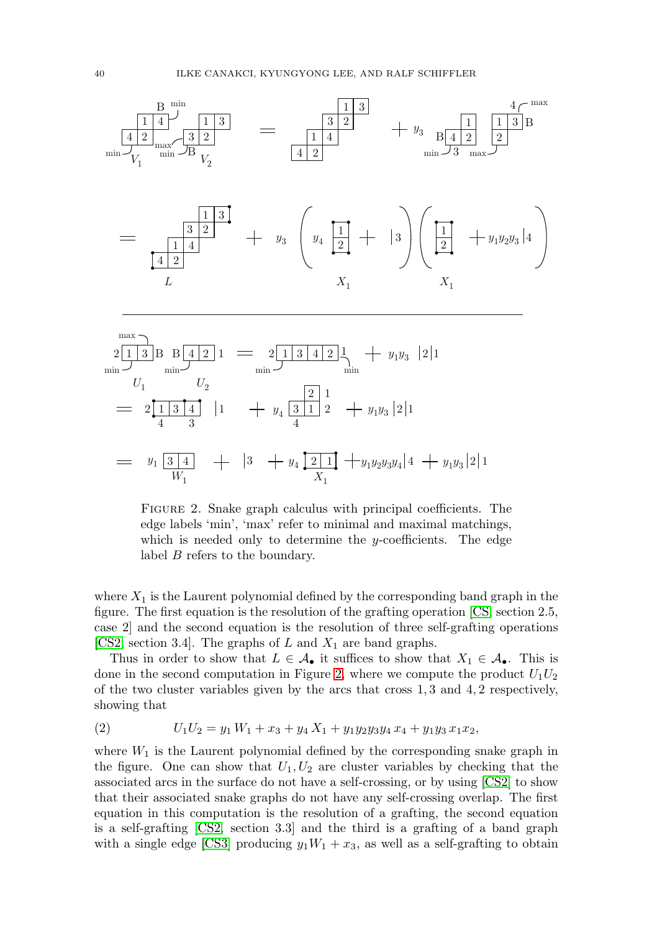

$$
= y_1 \underbrace{3 \mid 4}_{W_1} + |3 + y_4 \underbrace{2 \mid 1}_{X_1} + y_1 y_2 y_3 y_4 | 4 + y_1 y_3 | 2 | 1
$$

<span id="page-5-0"></span>FIGURE 2. Snake graph calculus with principal coefficients. The edge labels 'min', 'max' refer to minimal and maximal matchings, which is needed only to determine the y-coefficients. The edge label B refers to the boundary.

where  $X_1$  is the Laurent polynomial defined by the corresponding band graph in the figure. The first equation is the resolution of the grafting operation [\[CS,](#page-12-6) section 2.5, case 2] and the second equation is the resolution of three self-grafting operations [\[CS2,](#page-12-7) section 3.4]. The graphs of L and  $X_1$  are band graphs.

Thus in order to show that  $L \in \mathcal{A}_{\bullet}$  it suffices to show that  $X_1 \in \mathcal{A}_{\bullet}$ . This is done in the second computation in Figure [2,](#page-5-0) where we compute the product  $U_1U_2$ of the two cluster variables given by the arcs that cross  $1, 3$  and  $4, 2$  respectively, showing that

<span id="page-5-1"></span>(2) 
$$
U_1U_2 = y_1 W_1 + x_3 + y_4 X_1 + y_1 y_2 y_3 y_4 x_4 + y_1 y_3 x_1 x_2,
$$

where  $W_1$  is the Laurent polynomial defined by the corresponding snake graph in the figure. One can show that  $U_1, U_2$  are cluster variables by checking that the associated arcs in the surface do not have a self-crossing, or by using [\[CS2\]](#page-12-7) to show that their associated snake graphs do not have any self-crossing overlap. The first equation in this computation is the resolution of a grafting, the second equation is a self-grafting [\[CS2,](#page-12-7) section 3.3] and the third is a grafting of a band graph with a single edge [\[CS3\]](#page-12-8) producing  $y_1W_1 + x_3$ , as well as a self-grafting to obtain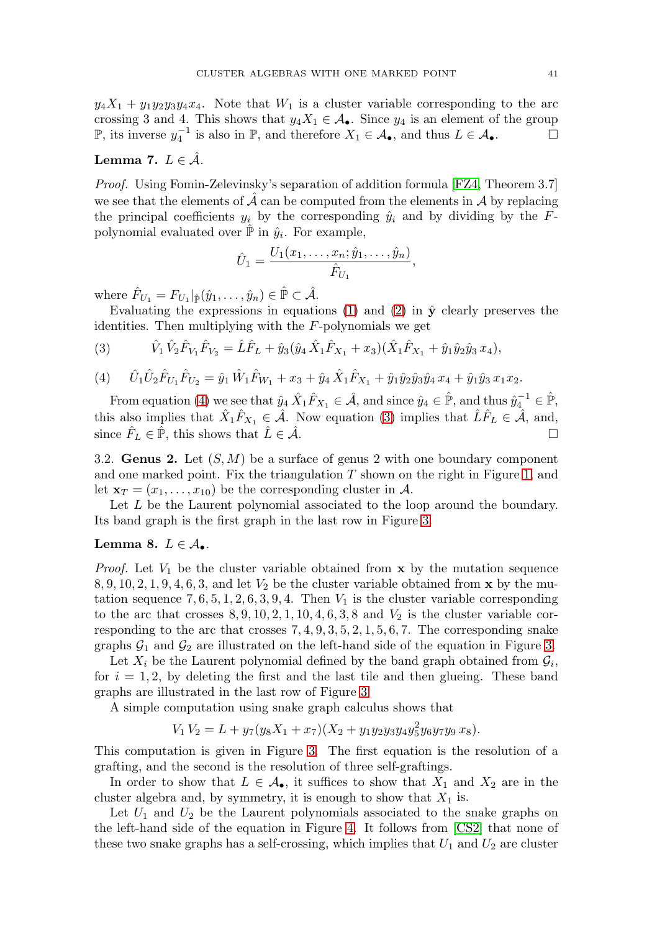$y_4X_1 + y_1y_2y_3y_4x_4$ . Note that  $W_1$  is a cluster variable corresponding to the arc crossing 3 and 4. This shows that  $y_4X_1 \in \mathcal{A}_{\bullet}$ . Since  $y_4$  is an element of the group P, its inverse  $y_4^{-1}$  is also in P, and therefore  $X_1 \in \mathcal{A}_{\bullet}$ , and thus  $L \in \mathcal{A}_{\bullet}$ .  $\Box$  $\Box$ 

### **Lemma 7.**  $L \in \mathcal{A}$ .

Proof. Using Fomin-Zelevinsky's separation of addition formula [\[FZ4,](#page-13-2) Theorem 3.7] we see that the elements of  $\hat{\mathcal{A}}$  can be computed from the elements in  $\hat{\mathcal{A}}$  by replacing the principal coefficients  $y_i$  by the corresponding  $\hat{y}_i$  and by dividing by the Fpolynomial evaluated over  $\mathbb P$  in  $\hat{y}_i$ . For example,

$$
\hat{U}_1 = \frac{U_1(x_1, \dots, x_n; \hat{y}_1, \dots, \hat{y}_n)}{\hat{F}_{U_1}},
$$

where  $\hat{F}_{U_1} = F_{U_1}|_{\hat{\mathbb{P}}}(\hat{y}_1,\ldots,\hat{y}_n) \in \hat{\mathbb{P}} \subset \hat{\mathcal{A}}.$ 

Evaluating the expressions in equations  $(1)$  and  $(2)$  in  $\hat{y}$  clearly preserves the identities. Then multiplying with the  $F$ -polynomials we get

<span id="page-6-1"></span>(3) 
$$
\hat{V}_1 \hat{V}_2 \hat{F}_{V_1} \hat{F}_{V_2} = \hat{L} \hat{F}_L + \hat{y}_3 (\hat{y}_4 \hat{X}_1 \hat{F}_{X_1} + x_3) (\hat{X}_1 \hat{F}_{X_1} + \hat{y}_1 \hat{y}_2 \hat{y}_3 x_4),
$$

<span id="page-6-0"></span>(4) 
$$
\hat{U}_1 \hat{U}_2 \hat{F}_{U_1} \hat{F}_{U_2} = \hat{y}_1 \hat{W}_1 \hat{F}_{W_1} + x_3 + \hat{y}_4 \hat{X}_1 \hat{F}_{X_1} + \hat{y}_1 \hat{y}_2 \hat{y}_3 \hat{y}_4 x_4 + \hat{y}_1 \hat{y}_3 x_1 x_2.
$$

From equation [\(4\)](#page-6-0) we see that  $\hat{y}_4 \hat{X}_1 \hat{F}_{X_1} \in \hat{\mathcal{A}}$ , and since  $\hat{y}_4 \in \hat{\mathbb{P}}$ , and thus  $\hat{y}_4^{-1} \in \hat{\mathbb{P}}$ , this also implies that  $\hat{X}_1\hat{F}_{X_1} \in \hat{\mathcal{A}}$ . Now equation [\(3\)](#page-6-1) implies that  $\hat{L}\hat{F}_L \in \hat{\mathcal{A}}$ , and, since  $\hat{F}_L \in \mathbb{P}$ , this shows that  $\hat{L} \in \hat{\mathcal{A}}$ .

3.2. **Genus 2.** Let  $(S, M)$  be a surface of genus 2 with one boundary component and one marked point. Fix the triangulation  $T$  shown on the right in Figure [1,](#page-4-0) and let  $\mathbf{x}_T = (x_1, \ldots, x_{10})$  be the corresponding cluster in A.

Let L be the Laurent polynomial associated to the loop around the boundary. Its band graph is the first graph in the last row in Figure [3.](#page-7-0)

### <span id="page-6-2"></span>**Lemma 8.**  $L \in \mathcal{A}_{\bullet}$ .

*Proof.* Let  $V_1$  be the cluster variable obtained from **x** by the mutation sequence 8, 9, 10, 2, 1, 9, 4, 6, 3, and let  $V_2$  be the cluster variable obtained from **x** by the mutation sequence  $7, 6, 5, 1, 2, 6, 3, 9, 4$ . Then  $V_1$  is the cluster variable corresponding to the arc that crosses  $8, 9, 10, 2, 1, 10, 4, 6, 3, 8$  and  $V_2$  is the cluster variable corresponding to the arc that crosses  $7, 4, 9, 3, 5, 2, 1, 5, 6, 7$ . The corresponding snake graphs  $\mathcal{G}_1$  and  $\mathcal{G}_2$  are illustrated on the left-hand side of the equation in Figure [3.](#page-7-0)

Let  $X_i$  be the Laurent polynomial defined by the band graph obtained from  $\mathcal{G}_i$ , for  $i = 1, 2$ , by deleting the first and the last tile and then glueing. These band graphs are illustrated in the last row of Figure [3.](#page-7-0)

A simple computation using snake graph calculus shows that

$$
V_1 V_2 = L + y_7 (y_8 X_1 + x_7)(X_2 + y_1 y_2 y_3 y_4 y_5^2 y_6 y_7 y_9 x_8).
$$

This computation is given in Figure [3.](#page-7-0) The first equation is the resolution of a grafting, and the second is the resolution of three self-graftings.

In order to show that  $L \in \mathcal{A}_{\bullet}$ , it suffices to show that  $X_1$  and  $X_2$  are in the cluster algebra and, by symmetry, it is enough to show that  $X_1$  is.

Let  $U_1$  and  $U_2$  be the Laurent polynomials associated to the snake graphs on the left-hand side of the equation in Figure [4.](#page-8-0) It follows from [\[CS2\]](#page-12-7) that none of these two snake graphs has a self-crossing, which implies that  $U_1$  and  $U_2$  are cluster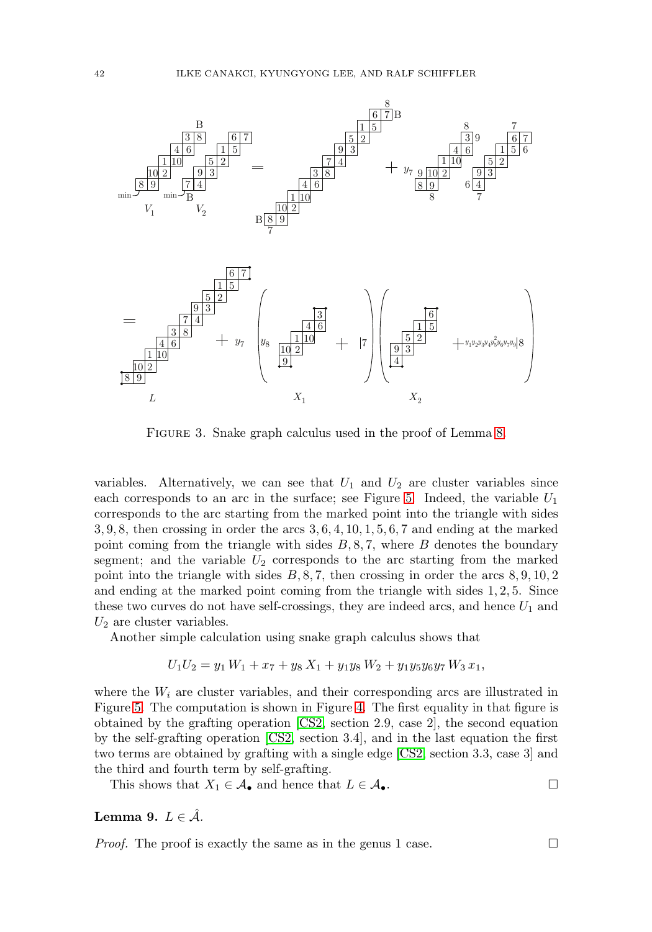

<span id="page-7-0"></span>FIGURE 3. Snake graph calculus used in the proof of Lemma [8.](#page-6-2)

variables. Alternatively, we can see that  $U_1$  and  $U_2$  are cluster variables since each corresponds to an arc in the surface; see Figure [5.](#page-8-1) Indeed, the variable  $U_1$ corresponds to the arc starting from the marked point into the triangle with sides 3, 9, 8, then crossing in order the arcs 3, 6, 4, 10, 1, 5, 6, 7 and ending at the marked point coming from the triangle with sides  $B, 8, 7$ , where  $B$  denotes the boundary segment; and the variable  $U_2$  corresponds to the arc starting from the marked point into the triangle with sides  $B, 8, 7$ , then crossing in order the arcs  $8, 9, 10, 2$ and ending at the marked point coming from the triangle with sides 1, 2, 5. Since these two curves do not have self-crossings, they are indeed arcs, and hence  $U_1$  and  $U_2$  are cluster variables.

Another simple calculation using snake graph calculus shows that

$$
U_1U_2 = y_1 W_1 + x_7 + y_8 X_1 + y_1 y_8 W_2 + y_1 y_5 y_6 y_7 W_3 x_1,
$$

where the  $W_i$  are cluster variables, and their corresponding arcs are illustrated in Figure [5.](#page-8-1) The computation is shown in Figure [4.](#page-8-0) The first equality in that figure is obtained by the grafting operation [\[CS2,](#page-12-7) section 2.9, case 2], the second equation by the self-grafting operation [\[CS2,](#page-12-7) section 3.4], and in the last equation the first two terms are obtained by grafting with a single edge [\[CS2,](#page-12-7) section 3.3, case 3] and the third and fourth term by self-grafting.

This shows that  $X_1 \in \mathcal{A}_{\bullet}$  and hence that  $L \in \mathcal{A}_{\bullet}$ .  $\Box$ 

### **Lemma 9.**  $L \in \mathcal{A}$ .

*Proof.* The proof is exactly the same as in the genus 1 case.  $\Box$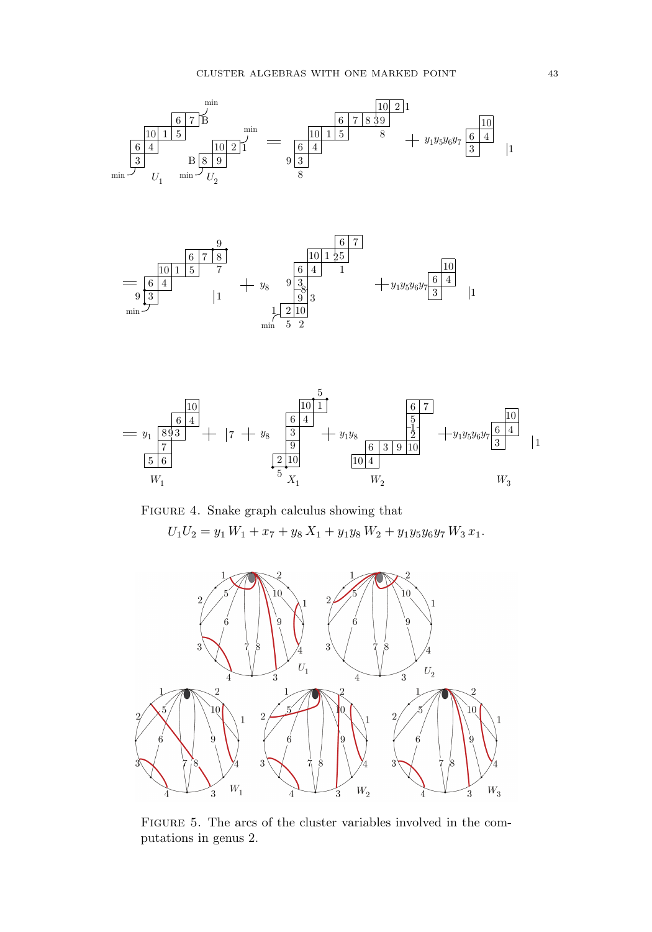



<span id="page-8-0"></span>



<span id="page-8-1"></span>FIGURE 5. The arcs of the cluster variables involved in the computations in genus 2.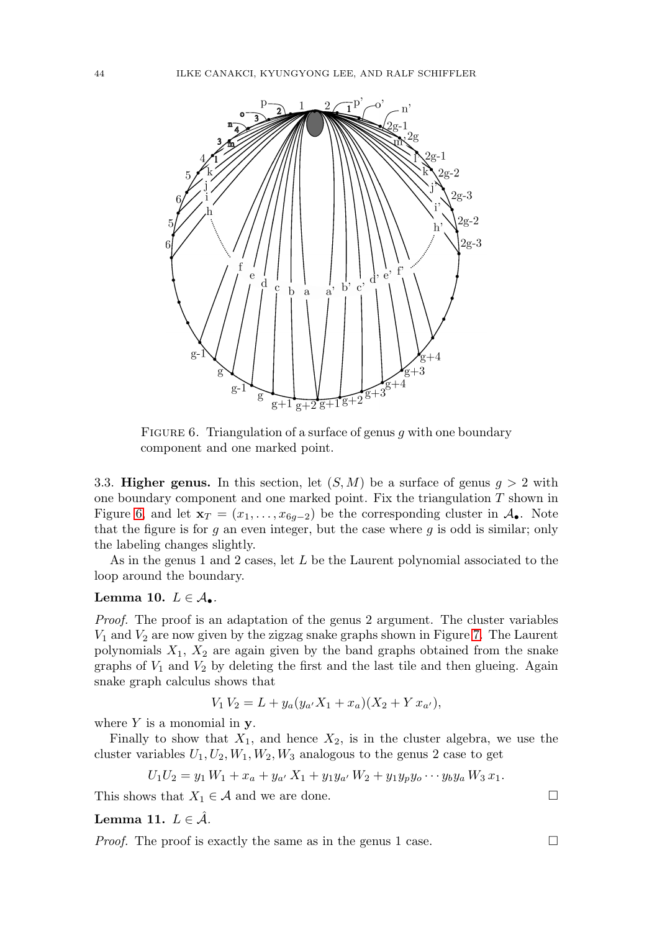

<span id="page-9-0"></span>FIGURE 6. Triangulation of a surface of genus  $g$  with one boundary component and one marked point.

3.3. **Higher genus.** In this section, let  $(S, M)$  be a surface of genus  $g > 2$  with one boundary component and one marked point. Fix the triangulation  $T$  shown in Figure [6,](#page-9-0) and let  $\mathbf{x}_T = (x_1, \ldots, x_{6q-2})$  be the corresponding cluster in  $\mathcal{A}_{\bullet}$ . Note that the figure is for  $g$  an even integer, but the case where  $g$  is odd is similar; only the labeling changes slightly.

As in the genus 1 and 2 cases, let L be the Laurent polynomial associated to the loop around the boundary.

## **Lemma 10.**  $L \in \mathcal{A}_{\bullet}$ .

Proof. The proof is an adaptation of the genus 2 argument. The cluster variables  $V_1$  and  $V_2$  are now given by the zigzag snake graphs shown in Figure [7.](#page-10-1) The Laurent polynomials  $X_1, X_2$  are again given by the band graphs obtained from the snake graphs of  $V_1$  and  $V_2$  by deleting the first and the last tile and then glueing. Again snake graph calculus shows that

$$
V_1 V_2 = L + y_a (y_{a'} X_1 + x_a)(X_2 + Y x_{a'}),
$$

where Y is a monomial in **y**.

Finally to show that  $X_1$ , and hence  $X_2$ , is in the cluster algebra, we use the cluster variables  $U_1, U_2, W_1, W_2, W_3$  analogous to the genus 2 case to get

$$
U_1U_2 = y_1 W_1 + x_a + y_{a'} X_1 + y_1 y_{a'} W_2 + y_1 y_p y_o \cdots y_b y_a W_3 x_1.
$$

This shows that  $X_1 \in \mathcal{A}$  and we are done.  $\Box$ 

**Lemma 11.**  $L \in \mathcal{A}$ .

*Proof.* The proof is exactly the same as in the genus 1 case.  $\Box$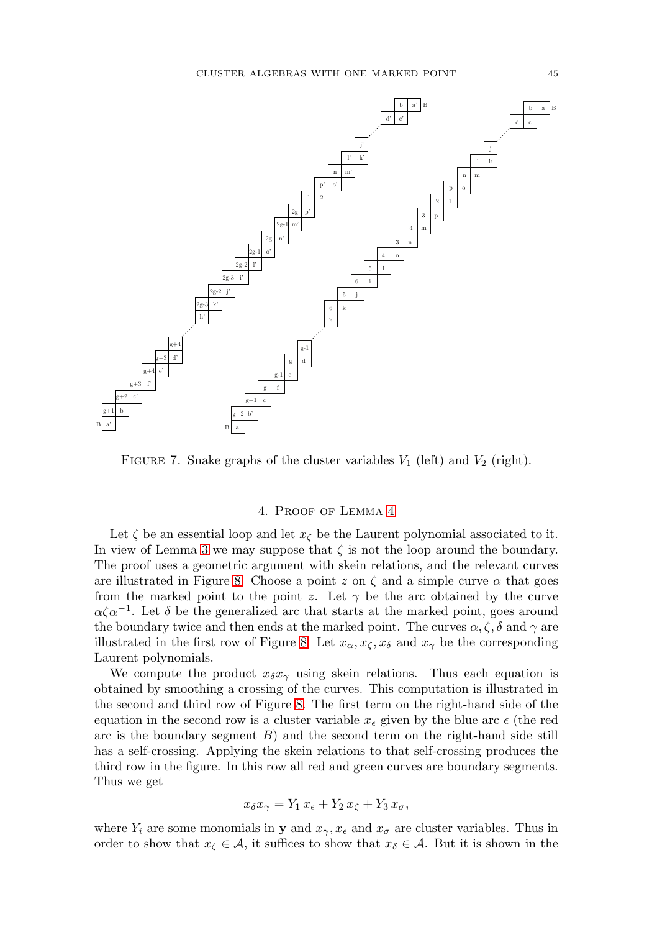

<span id="page-10-1"></span>FIGURE 7. Snake graphs of the cluster variables  $V_1$  (left) and  $V_2$  (right).

#### 4. Proof of Lemma [4](#page-3-4)

<span id="page-10-0"></span>Let  $\zeta$  be an essential loop and let  $x_{\zeta}$  be the Laurent polynomial associated to it. In view of Lemma [3](#page-3-2) we may suppose that  $\zeta$  is not the loop around the boundary. The proof uses a geometric argument with skein relations, and the relevant curves are illustrated in Figure [8.](#page-11-1) Choose a point z on  $\zeta$  and a simple curve  $\alpha$  that goes from the marked point to the point z. Let  $\gamma$  be the arc obtained by the curve  $\alpha \zeta \alpha^{-1}$ . Let  $\delta$  be the generalized arc that starts at the marked point, goes around the boundary twice and then ends at the marked point. The curves  $\alpha, \zeta, \delta$  and  $\gamma$  are illustrated in the first row of Figure [8.](#page-11-1) Let  $x_{\alpha}, x_{\zeta}, x_{\delta}$  and  $x_{\gamma}$  be the corresponding Laurent polynomials.

We compute the product  $x_{\delta}x_{\gamma}$  using skein relations. Thus each equation is obtained by smoothing a crossing of the curves. This computation is illustrated in the second and third row of Figure [8.](#page-11-1) The first term on the right-hand side of the equation in the second row is a cluster variable  $x_{\epsilon}$  given by the blue arc  $\epsilon$  (the red arc is the boundary segment  $B$ ) and the second term on the right-hand side still has a self-crossing. Applying the skein relations to that self-crossing produces the third row in the figure. In this row all red and green curves are boundary segments. Thus we get

$$
x_{\delta} x_{\gamma} = Y_1 x_{\epsilon} + Y_2 x_{\zeta} + Y_3 x_{\sigma},
$$

where  $Y_i$  are some monomials in **y** and  $x_\gamma, x_\epsilon$  and  $x_\sigma$  are cluster variables. Thus in order to show that  $x_{\zeta} \in \mathcal{A}$ , it suffices to show that  $x_{\delta} \in \mathcal{A}$ . But it is shown in the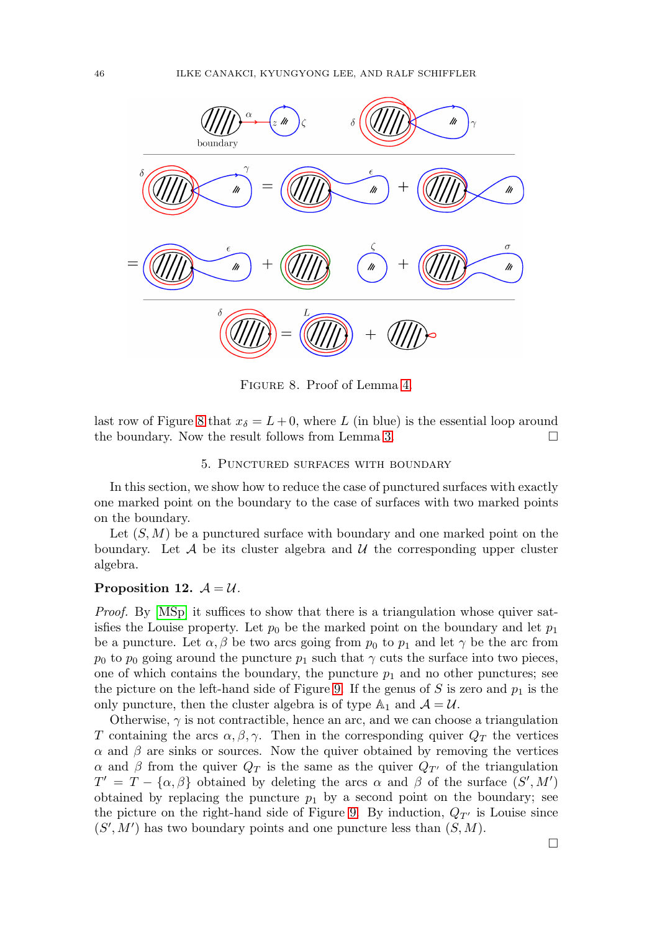

<span id="page-11-1"></span>Figure 8. Proof of Lemma [4.](#page-3-4)

last row of Figure [8](#page-11-1) that  $x_{\delta} = L + 0$ , where L (in blue) is the essential loop around the boundary. Now the result follows from Lemma [3.](#page-3-2)  $\Box$ 

### 5. Punctured surfaces with boundary

In this section, we show how to reduce the case of punctured surfaces with exactly one marked point on the boundary to the case of surfaces with two marked points on the boundary.

Let  $(S, M)$  be a punctured surface with boundary and one marked point on the boundary. Let  $\mathcal A$  be its cluster algebra and  $\mathcal U$  the corresponding upper cluster algebra.

### <span id="page-11-0"></span>**Proposition 12.**  $A = U$ .

Proof. By [\[MSp\]](#page-13-16) it suffices to show that there is a triangulation whose quiver satisfies the Louise property. Let  $p_0$  be the marked point on the boundary and let  $p_1$ be a puncture. Let  $\alpha$ ,  $\beta$  be two arcs going from  $p_0$  to  $p_1$  and let  $\gamma$  be the arc from  $p_0$  to  $p_0$  going around the puncture  $p_1$  such that  $\gamma$  cuts the surface into two pieces, one of which contains the boundary, the puncture  $p_1$  and no other punctures; see the picture on the left-hand side of Figure [9.](#page-12-12) If the genus of S is zero and  $p_1$  is the only puncture, then the cluster algebra is of type  $\mathbb{A}_1$  and  $\mathcal{A} = \mathcal{U}$ .

Otherwise,  $\gamma$  is not contractible, hence an arc, and we can choose a triangulation T containing the arcs  $\alpha, \beta, \gamma$ . Then in the corresponding quiver  $Q_T$  the vertices  $\alpha$  and  $\beta$  are sinks or sources. Now the quiver obtained by removing the vertices  $\alpha$  and  $\beta$  from the quiver  $Q_T$  is the same as the quiver  $Q_{T'}$  of the triangulation  $T' = T - {\alpha, \beta}$  obtained by deleting the arcs  $\alpha$  and  $\beta$  of the surface  $(S', M')$ obtained by replacing the puncture  $p_1$  by a second point on the boundary; see the picture on the right-hand side of Figure [9.](#page-12-12) By induction,  $Q_{T'}$  is Louise since  $(S', M')$  has two boundary points and one puncture less than  $(S, M)$ .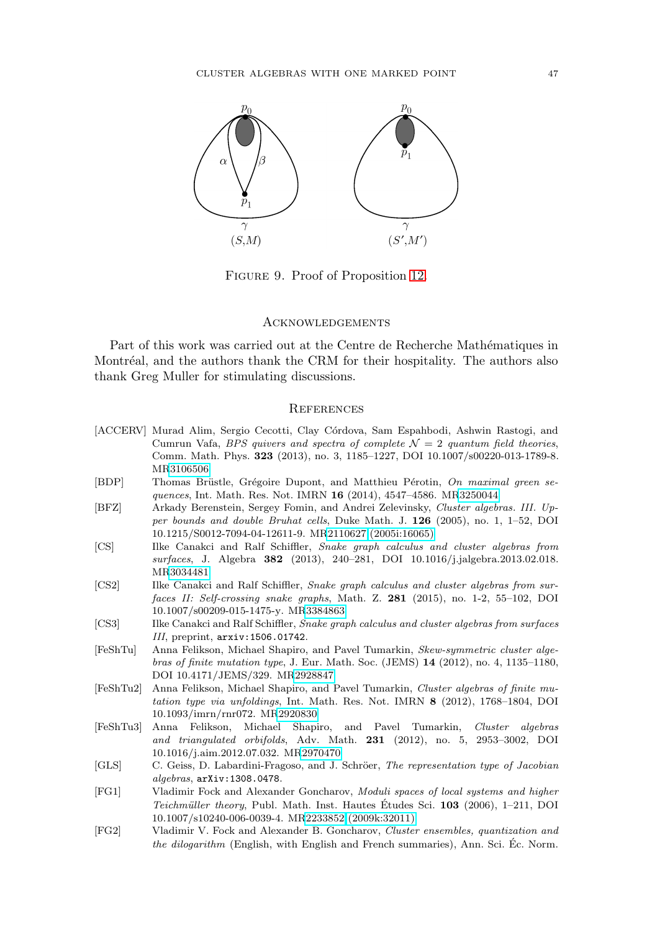

Figure 9. Proof of Proposition [12.](#page-11-0)

#### <span id="page-12-12"></span>**ACKNOWLEDGEMENTS**

Part of this work was carried out at the Centre de Recherche Mathématiques in Montréal, and the authors thank the CRM for their hospitality. The authors also thank Greg Muller for stimulating discussions.

#### **REFERENCES**

- <span id="page-12-10"></span>[ACCERV] Murad Alim, Sergio Cecotti, Clay Córdova, Sam Espahbodi, Ashwin Rastogi, and Cumrun Vafa, BPS quivers and spectra of complete  $\mathcal{N}=2$  quantum field theories, Comm. Math. Phys. **323** (2013), no. 3, 1185–1227, DOI 10.1007/s00220-013-1789-8. M[R3106506](http://www.ams.org/mathscinet-getitem?mr=3106506)
- <span id="page-12-9"></span>[BDP] Thomas Brüstle, Grégoire Dupont, and Matthieu Pérotin, On maximal green sequences, Int. Math. Res. Not. IMRN **16** (2014), 4547–4586. M[R3250044](http://www.ams.org/mathscinet-getitem?mr=3250044)
- <span id="page-12-0"></span>[BFZ] Arkady Berenstein, Sergey Fomin, and Andrei Zelevinsky, Cluster algebras. III. Upper bounds and double Bruhat cells, Duke Math. J. **126** (2005), no. 1, 1–52, DOI 10.1215/S0012-7094-04-12611-9. M[R2110627 \(2005i:16065\)](http://www.ams.org/mathscinet-getitem?mr=2110627)
- <span id="page-12-6"></span>[CS] Ilke Canakci and Ralf Schiffler, Snake graph calculus and cluster algebras from surfaces, J. Algebra **382** (2013), 240–281, DOI 10.1016/j.jalgebra.2013.02.018. M[R3034481](http://www.ams.org/mathscinet-getitem?mr=3034481)
- <span id="page-12-7"></span>[CS2] Ilke Canakci and Ralf Schiffler, Snake graph calculus and cluster algebras from surfaces II: Self-crossing snake graphs, Math. Z. **281** (2015), no. 1-2, 55–102, DOI 10.1007/s00209-015-1475-y. M[R3384863](http://www.ams.org/mathscinet-getitem?mr=3384863)
- <span id="page-12-8"></span>[CS3] Ilke Canakci and Ralf Schiffler, Snake graph calculus and cluster algebras from surfaces III, preprint, arxiv:1506.01742.
- <span id="page-12-3"></span>[FeShTu] Anna Felikson, Michael Shapiro, and Pavel Tumarkin, Skew-symmetric cluster algebras of finite mutation type, J. Eur. Math. Soc. (JEMS) **14** (2012), no. 4, 1135–1180, DOI 10.4171/JEMS/329. M[R2928847](http://www.ams.org/mathscinet-getitem?mr=2928847)
- <span id="page-12-4"></span>[FeShTu2] Anna Felikson, Michael Shapiro, and Pavel Tumarkin, Cluster algebras of finite mutation type via unfoldings, Int. Math. Res. Not. IMRN **8** (2012), 1768–1804, DOI 10.1093/imrn/rnr072. M[R2920830](http://www.ams.org/mathscinet-getitem?mr=2920830)
- <span id="page-12-5"></span>[FeShTu3] Anna Felikson, Michael Shapiro, and Pavel Tumarkin, Cluster algebras and triangulated orbifolds, Adv. Math. **231** (2012), no. 5, 2953–3002, DOI 10.1016/j.aim.2012.07.032. M[R2970470](http://www.ams.org/mathscinet-getitem?mr=2970470)
- <span id="page-12-11"></span>[GLS] C. Geiss, D. Labardini-Fragoso, and J. Schröer, The representation type of Jacobian algebras, arXiv:1308.0478.
- <span id="page-12-1"></span>[FG1] Vladimir Fock and Alexander Goncharov, Moduli spaces of local systems and higher Teichmüller theory, Publ. Math. Inst. Hautes Etudes Sci. **103** (2006), 1–211, DOI 10.1007/s10240-006-0039-4. M[R2233852 \(2009k:32011\)](http://www.ams.org/mathscinet-getitem?mr=2233852)
- <span id="page-12-2"></span>[FG2] Vladimir V. Fock and Alexander B. Goncharov, Cluster ensembles, quantization and the dilogarithm (English, with English and French summaries), Ann. Sci. Éc. Norm.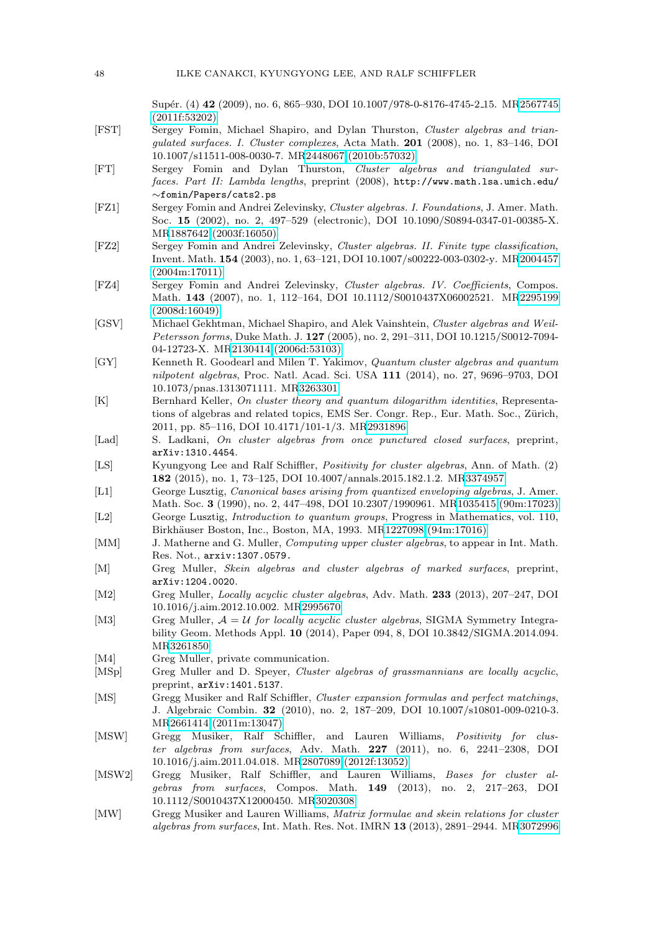Sup´er. (4) **42** (2009), no. 6, 865–930, DOI 10.1007/978-0-8176-4745-2 15. M[R2567745](http://www.ams.org/mathscinet-getitem?mr=2567745) [\(2011f:53202\)](http://www.ams.org/mathscinet-getitem?mr=2567745)

- <span id="page-13-7"></span>[FST] Sergey Fomin, Michael Shapiro, and Dylan Thurston, Cluster algebras and triangulated surfaces. I. Cluster complexes, Acta Math. **201** (2008), no. 1, 83–146, DOI 10.1007/s11511-008-0030-7. M[R2448067 \(2010b:57032\)](http://www.ams.org/mathscinet-getitem?mr=2448067)
- <span id="page-13-8"></span>[FT] Sergey Fomin and Dylan Thurston, Cluster algebras and triangulated surfaces. Part II: Lambda lengths, preprint (2008), http://www.math.lsa.umich.edu/ ∼fomin/Papers/cats2.ps
- <span id="page-13-0"></span>[FZ1] Sergey Fomin and Andrei Zelevinsky, Cluster algebras. I. Foundations, J. Amer. Math. Soc. **15** (2002), no. 2, 497–529 (electronic), DOI 10.1090/S0894-0347-01-00385-X. M[R1887642 \(2003f:16050\)](http://www.ams.org/mathscinet-getitem?mr=1887642)
- <span id="page-13-1"></span>[FZ2] Sergey Fomin and Andrei Zelevinsky, Cluster algebras. II. Finite type classification, Invent. Math. **154** (2003), no. 1, 63–121, DOI 10.1007/s00222-003-0302-y. M[R2004457](http://www.ams.org/mathscinet-getitem?mr=2004457) [\(2004m:17011\)](http://www.ams.org/mathscinet-getitem?mr=2004457)
- <span id="page-13-2"></span>[FZ4] Sergey Fomin and Andrei Zelevinsky, Cluster algebras. IV. Coefficients, Compos. Math. **143** (2007), no. 1, 112–164, DOI 10.1112/S0010437X06002521. M[R2295199](http://www.ams.org/mathscinet-getitem?mr=2295199) [\(2008d:16049\)](http://www.ams.org/mathscinet-getitem?mr=2295199)
- <span id="page-13-6"></span>[GSV] Michael Gekhtman, Michael Shapiro, and Alek Vainshtein, Cluster algebras and Weil-Petersson forms, Duke Math. J. **127** (2005), no. 2, 291–311, DOI 10.1215/S0012-7094- 04-12723-X. M[R2130414 \(2006d:53103\)](http://www.ams.org/mathscinet-getitem?mr=2130414)
- <span id="page-13-17"></span>[GY] Kenneth R. Goodearl and Milen T. Yakimov, Quantum cluster algebras and quantum nilpotent algebras, Proc. Natl. Acad. Sci. USA **111** (2014), no. 27, 9696–9703, DOI 10.1073/pnas.1313071111. M[R3263301](http://www.ams.org/mathscinet-getitem?mr=3263301)
- <span id="page-13-20"></span>[K] Bernhard Keller, On cluster theory and quantum dilogarithm identities, Representations of algebras and related topics, EMS Ser. Congr. Rep., Eur. Math. Soc., Zürich, 2011, pp. 85–116, DOI 10.4171/101-1/3. M[R2931896](http://www.ams.org/mathscinet-getitem?mr=2931896)
- <span id="page-13-18"></span>[Lad] S. Ladkani, On cluster algebras from once punctured closed surfaces, preprint, arXiv:1310.4454.
- <span id="page-13-5"></span>[LS] Kyungyong Lee and Ralf Schiffler, Positivity for cluster algebras, Ann. of Math. (2) **182** (2015), no. 1, 73–125, DOI 10.4007/annals.2015.182.1.2. M[R3374957](http://www.ams.org/mathscinet-getitem?mr=3374957)
- <span id="page-13-3"></span>[L1] George Lusztig, Canonical bases arising from quantized enveloping algebras, J. Amer. Math. Soc. **3** (1990), no. 2, 447–498, DOI 10.2307/1990961. M[R1035415 \(90m:17023\)](http://www.ams.org/mathscinet-getitem?mr=1035415)
- <span id="page-13-4"></span>[L2] George Lusztig, Introduction to quantum groups, Progress in Mathematics, vol. 110, Birkhäuser Boston, Inc., Boston, MA, 1993. M[R1227098 \(94m:17016\)](http://www.ams.org/mathscinet-getitem?mr=1227098)
- <span id="page-13-21"></span>[MM] J. Matherne and G. Muller, *Computing upper cluster algebras*, to appear in Int. Math. Res. Not., arxiv:1307.0579.
- <span id="page-13-9"></span>[M] Greg Muller, Skein algebras and cluster algebras of marked surfaces, preprint, arXiv:1204.0020.
- <span id="page-13-14"></span>[M2] Greg Muller, Locally acyclic cluster algebras, Adv. Math. **233** (2013), 207–247, DOI 10.1016/j.aim.2012.10.002. M[R2995670](http://www.ams.org/mathscinet-getitem?mr=2995670)
- <span id="page-13-15"></span>[M3] Greg Muller,  $A = U$  for locally acyclic cluster algebras, SIGMA Symmetry Integrability Geom. Methods Appl. **10** (2014), Paper 094, 8, DOI 10.3842/SIGMA.2014.094. M[R3261850](http://www.ams.org/mathscinet-getitem?mr=3261850)
- <span id="page-13-19"></span>[M4] Greg Muller, private communication.
- <span id="page-13-16"></span>[MSp] Greg Muller and D. Speyer, Cluster algebras of grassmannians are locally acyclic, preprint, arXiv:1401.5137.
- <span id="page-13-11"></span>[MS] Gregg Musiker and Ralf Schiffler, Cluster expansion formulas and perfect matchings, J. Algebraic Combin. **32** (2010), no. 2, 187–209, DOI 10.1007/s10801-009-0210-3. M[R2661414 \(2011m:13047\)](http://www.ams.org/mathscinet-getitem?mr=2661414)
- <span id="page-13-10"></span>[MSW] Gregg Musiker, Ralf Schiffler, and Lauren Williams, Positivity for cluster algebras from surfaces, Adv. Math. **227** (2011), no. 6, 2241–2308, DOI 10.1016/j.aim.2011.04.018. M[R2807089 \(2012f:13052\)](http://www.ams.org/mathscinet-getitem?mr=2807089)
- <span id="page-13-12"></span>[MSW2] Gregg Musiker, Ralf Schiffler, and Lauren Williams, Bases for cluster algebras from surfaces, Compos. Math. **149** (2013), no. 2, 217–263, DOI 10.1112/S0010437X12000450. M[R3020308](http://www.ams.org/mathscinet-getitem?mr=3020308)
- <span id="page-13-13"></span>[MW] Gregg Musiker and Lauren Williams, Matrix formulae and skein relations for cluster algebras from surfaces, Int. Math. Res. Not. IMRN **13** (2013), 2891–2944. M[R3072996](http://www.ams.org/mathscinet-getitem?mr=3072996)